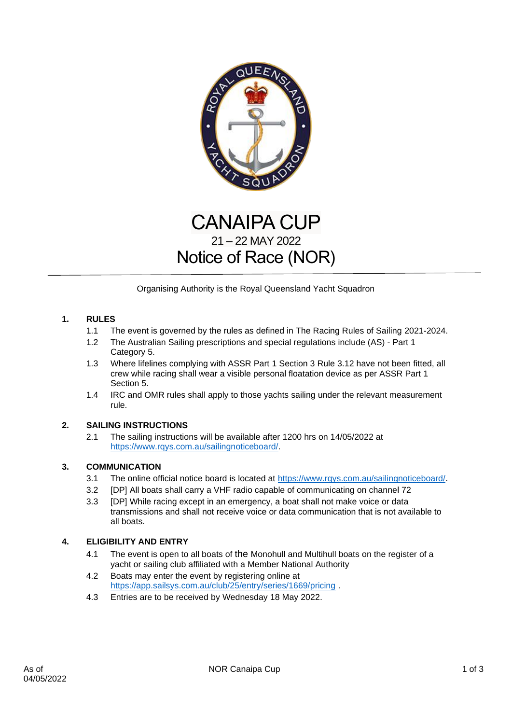

# CANAIPA CUP 21 – 22 MAY 2022 Notice of Race (NOR)

Organising Authority is the Royal Queensland Yacht Squadron

# **1. RULES**

- 1.1 The event is governed by the rules as defined in The Racing Rules of Sailing 2021-2024.
- 1.2 The Australian Sailing prescriptions and special regulations include (AS) Part 1 Category 5.
- 1.3 Where lifelines complying with ASSR Part 1 Section 3 Rule 3.12 have not been fitted, all crew while racing shall wear a visible personal floatation device as per ASSR Part 1 Section 5.
- 1.4 IRC and OMR rules shall apply to those yachts sailing under the relevant measurement rule.

# **2. SAILING INSTRUCTIONS**

2.1 The sailing instructions will be available after 1200 hrs on 14/05/2022 at [https://www.rqys.com.au/sailingnoticeboard/.](https://www.rqys.com.au/sailingnoticeboard/)

# **3. COMMUNICATION**

- 3.1 The online official notice board is located at [https://www.rqys.com.au/sailingnoticeboard/.](https://www.rqys.com.au/sailingnoticeboard/)
- 3.2 [DP] All boats shall carry a VHF radio capable of communicating on channel 72
- 3.3 [DP] While racing except in an emergency, a boat shall not make voice or data transmissions and shall not receive voice or data communication that is not available to all boats.

# **4. ELIGIBILITY AND ENTRY**

- 4.1 The event is open to all boats of the Monohull and Multihull boats on the register of a yacht or sailing club affiliated with a Member National Authority
- 4.2 Boats may enter the event by registering online at <https://app.sailsys.com.au/club/25/entry/series/1669/pricing> .
- 4.3 Entries are to be received by Wednesday 18 May 2022.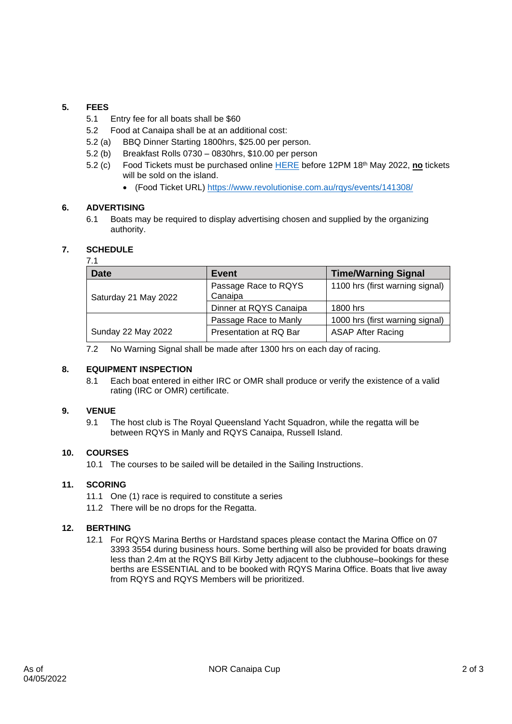# **5. FEES**

- 5.1 Entry fee for all boats shall be \$60
- 5.2 Food at Canaipa shall be at an additional cost:
- 5.2 (a) BBQ Dinner Starting 1800hrs, \$25.00 per person.
- 5.2 (b) Breakfast Rolls 0730 0830hrs, \$10.00 per person
- 5.2 (c) Food Tickets must be purchased online [HERE](https://www.revolutionise.com.au/rqys/events/141308/) before 12PM 18th May 2022, **no** tickets will be sold on the island.
	- (Food Ticket URL)<https://www.revolutionise.com.au/rqys/events/141308/>

# **6. ADVERTISING**

6.1 Boats may be required to display advertising chosen and supplied by the organizing authority.

# **7. SCHEDULE**

#### 7.1

| <b>Date</b>          | Event                           | <b>Time/Warning Signal</b>      |
|----------------------|---------------------------------|---------------------------------|
| Saturday 21 May 2022 | Passage Race to RQYS<br>Canaipa | 1100 hrs (first warning signal) |
|                      | Dinner at RQYS Canaipa          | 1800 hrs                        |
|                      | Passage Race to Manly           | 1000 hrs (first warning signal) |
| Sunday 22 May 2022   | Presentation at RQ Bar          | <b>ASAP After Racing</b>        |

7.2 No Warning Signal shall be made after 1300 hrs on each day of racing.

# **8. EQUIPMENT INSPECTION**

8.1 Each boat entered in either IRC or OMR shall produce or verify the existence of a valid rating (IRC or OMR) certificate.

# **9. VENUE**

9.1 The host club is The Royal Queensland Yacht Squadron, while the regatta will be between RQYS in Manly and RQYS Canaipa, Russell Island.

#### **10. COURSES**

10.1 The courses to be sailed will be detailed in the Sailing Instructions.

#### **11. SCORING**

- 11.1 One (1) race is required to constitute a series
- 11.2 There will be no drops for the Regatta.

# **12. BERTHING**

12.1 For RQYS Marina Berths or Hardstand spaces please contact the Marina Office on 07 3393 3554 during business hours. Some berthing will also be provided for boats drawing less than 2.4m at the RQYS Bill Kirby Jetty adjacent to the clubhouse–bookings for these berths are ESSENTIAL and to be booked with RQYS Marina Office. Boats that live away from RQYS and RQYS Members will be prioritized.